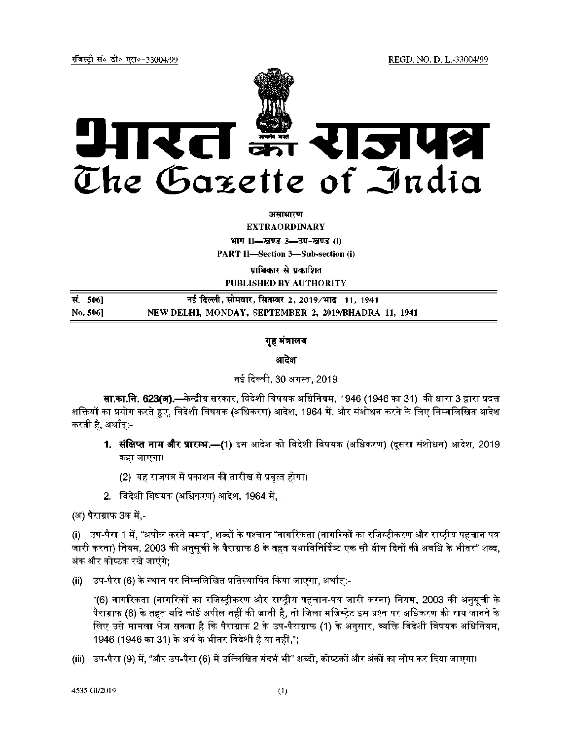REGD. NO. D. L.-33004/99

रजिस्ट्री सं० डी० एल०-33004/99



असाधारण

**EXTRAORDINARY** भाग II-खण्ड 3-उप-खण्ड (i)

**PART II-Section 3-Sub-section (i)** 

पाधिकार से प्रकाशित PUBLISHED BY AUTHORITY

नई दिल्ली, सोमवार, सितम्बर 2, 2019/भाद 11, 1941 सं. 5061 No. 506] NEW DELHI, MONDAY, SEPTEMBER 2, 2019/BHADRA 11, 1941

# गृह मंत्रालय

# आदेश

नई दिल्ली, 30 अगस्त, 2019

**सा.का.नि. 623(अ).—**केन्द्रीय सरकार, विदेशी विषयक अधिनियम, 1946 (1946 का 31) की धारा 3 द्वारा प्रदत्त शक्तियों का प्रयोग करते हुए, विदेशी विषयक (अधिकरण) आदेश, 1964 में, और संशोधन करने के लिए निम्नलिखित आदेश करती है, अर्थात:-

- 1. सं**क्षिप्त नाम और प्रारम्भ.—(**1) इस आदेश को विदेशी विषयक (अधिकरण) (दुसरा संशोधन) आदेश, 2019 कहा जाएगा।
	- (2) यह राजपत्र में प्रकाशन की तारीख से प्रवृत्त होगा।
- 2. विदेशी विषयक (अधिकरण) आदेश, 1964 में. -

(अ) पैराग्राफ 3क में.-

(i) उप-पैरा 1 में, "अपील करते समय", शब्दों के पश्चात "नागरिकता (नागरिकों का रजिस्टीकरण और राष्ट्रीय पहचान पत्र जारी करना) नियम, 2003 की अनुसूची के पैराग्राफ 8 के तहत यथाविनिर्दिष्ट एक सौ वीस दिनों की अवधि के भीतर" शब्द, अंक और कोष्ठक रखे जाएंगे:

(ii) उप-पैरा (6) के स्थान पर निम्नलिखित प्रतिस्थापित किया जाएगा, अर्थात्:-

"(6) नागरिकता (नागरिकों का रजिस्ट्रीकरण और राष्ट्रीय पहचान-पत्र जारी करना) नियम, 2003 की अनुसूची के पैराग्राफ (8) के तहत यदि कोई अपील नहीं की जाती है, तो जिला मजिस्ट्रेट इस प्रश्न पर अधिकरण की राय जानने के लिए उसे मामला भेज सकता है कि पैराग्राफ 2 के उप-पैराग्राफ (1) के अनुसार, व्यक्ति विदेशी विषयक अधिनियम, 1946 (1946 का 31) के अर्थ के भीतर विदेशी है या नहीं.":

(iii) उप-पैरा (9) में, "और उप-पैरा (6) में उल्लिखित संदर्भ भी" शब्दों, कोष्ठकों और अंकों का लोप कर दिया जाएगा।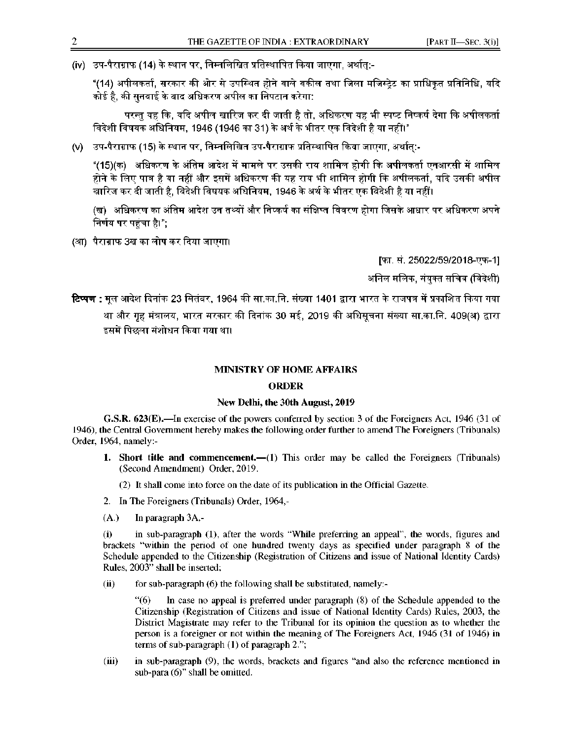(iv) उप-पैराग्राफ (14) के स्थान पर, निम्नलिखित प्रतिस्थापित किया जाएगा, अर्थात्:-

"(14) अपीलकर्ता, सरकार की ओर से उपस्थित होने वाले वकील तथा जिला मजिस्टेट का प्राधिकत प्रतिनिधि, यदि कोई है, की सुनवाई के बाद अधिकरण अपील का निपटान करेगा:

परन्तु यह कि, यदि अपील खारिज कर दी जाती है तो, अधिकरण यह भी स्पष्ट निष्कर्ष देगा कि अपीलकर्ता विदेशी विषयक अधिनियम, 1946 (1946 का 31) के अर्थ के भीतर एक विदेशी है या नहीं।"

(v) उप-पैराग्राफ (15) के स्थान पर, निम्नलिखित उप-पैराग्राफ प्रतिस्थापित किया जाएगा, अर्थात्:-

"(15)(क) अधिकरण के अंतिम आदेश में मामले पर उसकी राय शामिल होगी कि अपीलकर्ता एनआरसी में शामिल होने के लिए पात्र है या नहीं और इसमें अधिकरण की यह राय भी शामिल होगी कि अपीलकर्ता, यदि उसकी अपील खारिज कर दी जाती है. विदेशी विषयक अधिनियम, 1946 के अर्थ के भीतर एक विदेशी है या नहीं।

(ख) अधिकरण का अंतिम आदेश उन तथ्यों और निष्कर्ष का संक्षिप्त विवरण होगा जिसके आधार पर अधिकरण अपने निर्णय पर पहुंचा है।";

(आ) पैराग्राफ 3ख का लोप कर दिया जाएगा।

[फा. सं. 25022/59/2018-एफ-1]

अनिल मलिक, संयुक्त सचिव (विदेशी)

**टिप्पण :** मूल आदेश दिनांक 23 मितंबर, 1964 की सा.का.नि. संख्या 1401 द्वारा भारत के राजपत्र में प्रकाशित किया गया था और गृह मंत्रालय, भारत सरकार की दिनांक 30 मई, 2019 की अधिसूचना संख्या सा.का.नि. 409(अ) द्वारा इसमें पिछला संशोधन किया गया था।

### **MINISTRY OF HOME AFFAIRS**

#### **ORDER**

### **New Delhi, the 30th August, 2019**

**G.S.R. 623(E).—**In exercise of the powers conferred by section 3 of the Foreigners Act, 1946 (31 of 1946), the Central Government hereby makes the following order further to amend The Foreigners (Tribunals) Order, 1964, namely:-

- **1. Short title and commencement.—**(1) This order may be called the Foreigners (Tribunals) (Second Amendment) Order, 2019.
	- (2) It shall come into force on the date of its publication in the Official Gazette.
- 2. In The Foreigners (Tribunals) Order, 1964,-
- (A.) In paragraph 3A,-

(i) in sub-paragraph (1), after the words "While preferring an appeal", the words, figures and brackets "within the period of one hundred twenty days as specified under paragraph 8 of the Schedule appended to the Citizenship (Registration of Citizens and issue of National Identity Cards) Rules, 2003" shall be inserted;

(ii) for sub-paragraph  $(6)$  the following shall be substituted, namely:-

"(6) In case no appeal is preferred under paragraph (8) of the Schedule appended to the Citizenship (Registration of Citizens and issue of National Identity Cards) Rules, 2003, the District Magistrate may refer to the Tribunal for its opinion the question as to whether the person is a foreigner or not within the meaning of The Foreigners Act, 1946 (31 of 1946) in terms of sub-paragraph (1) of paragraph 2.";

(iii) in sub-paragraph (9), the words, brackets and figures "and also the reference mentioned in sub-para (6)" shall be omitted.